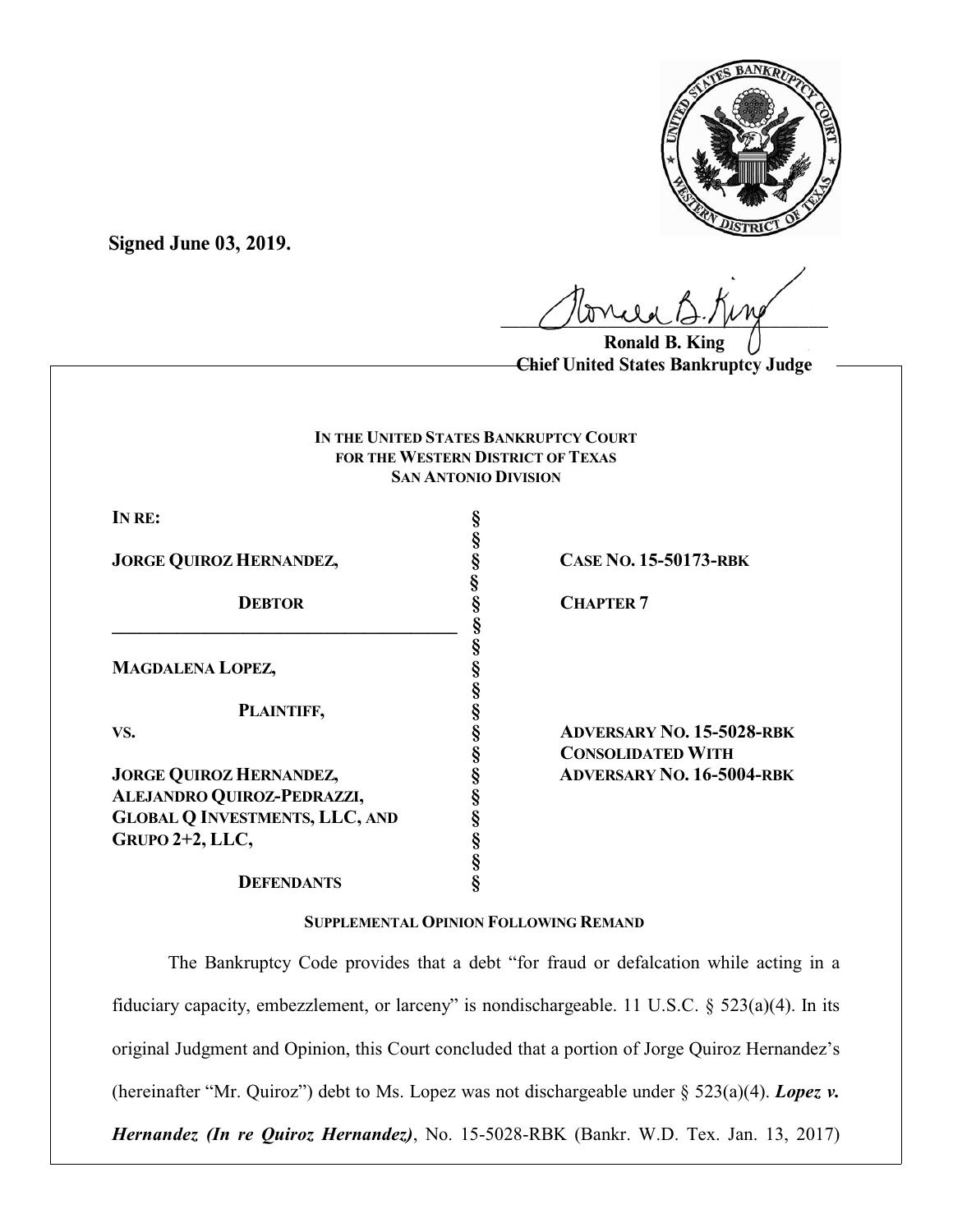

**Signed June 03, 2019.**

 $U^{WVWW}$ 

**Ronald B. King Chief United States Bankruptcy Judge**

## **IN THE UNITED STATES BANKRUPTCY COURT FOR THE WESTERN DISTRICT OF TEXAS SAN ANTONIO DIVISION**

**§**

**§**

**§**

**§**

**IN RE: §**

**JORGE QUIROZ HERNANDEZ, § CASE NO. 15-50173-RBK**

**8 CHAPTER 7 \_\_\_\_\_\_\_\_\_\_\_\_\_\_\_\_\_\_\_\_\_\_\_\_\_\_\_\_\_\_\_\_\_\_\_\_\_ § MAGDALENA LOPEZ, §**

**PLAINTIFF, §**

**JORGE QUIROZ HERNANDEZ, § ADVERSARY NO. 16-5004-RBK ALEJANDRO QUIROZ-PEDRAZZI, § GLOBAL Q INVESTMENTS, LLC, AND § GRUPO 2+2, LLC, §**

**VS. § ADVERSARY NO. 15-5028-RBK § CONSOLIDATED WITH** 

## **DEFENDANTS §**

## **SUPPLEMENTAL OPINION FOLLOWING REMAND**

**§**

The Bankruptcy Code provides that a debt "for fraud or defalcation while acting in a fiduciary capacity, embezzlement, or larceny" is nondischargeable. 11 U.S.C. § 523(a)(4). In its original Judgment and Opinion, this Court concluded that a portion of Jorge Quiroz Hernandez's (hereinafter "Mr. Quiroz") debt to Ms. Lopez was not dischargeable under § 523(a)(4). *Lopez v. Hernandez (In re Quiroz Hernandez)*, No. 15-5028-RBK (Bankr. W.D. Tex. Jan. 13, 2017)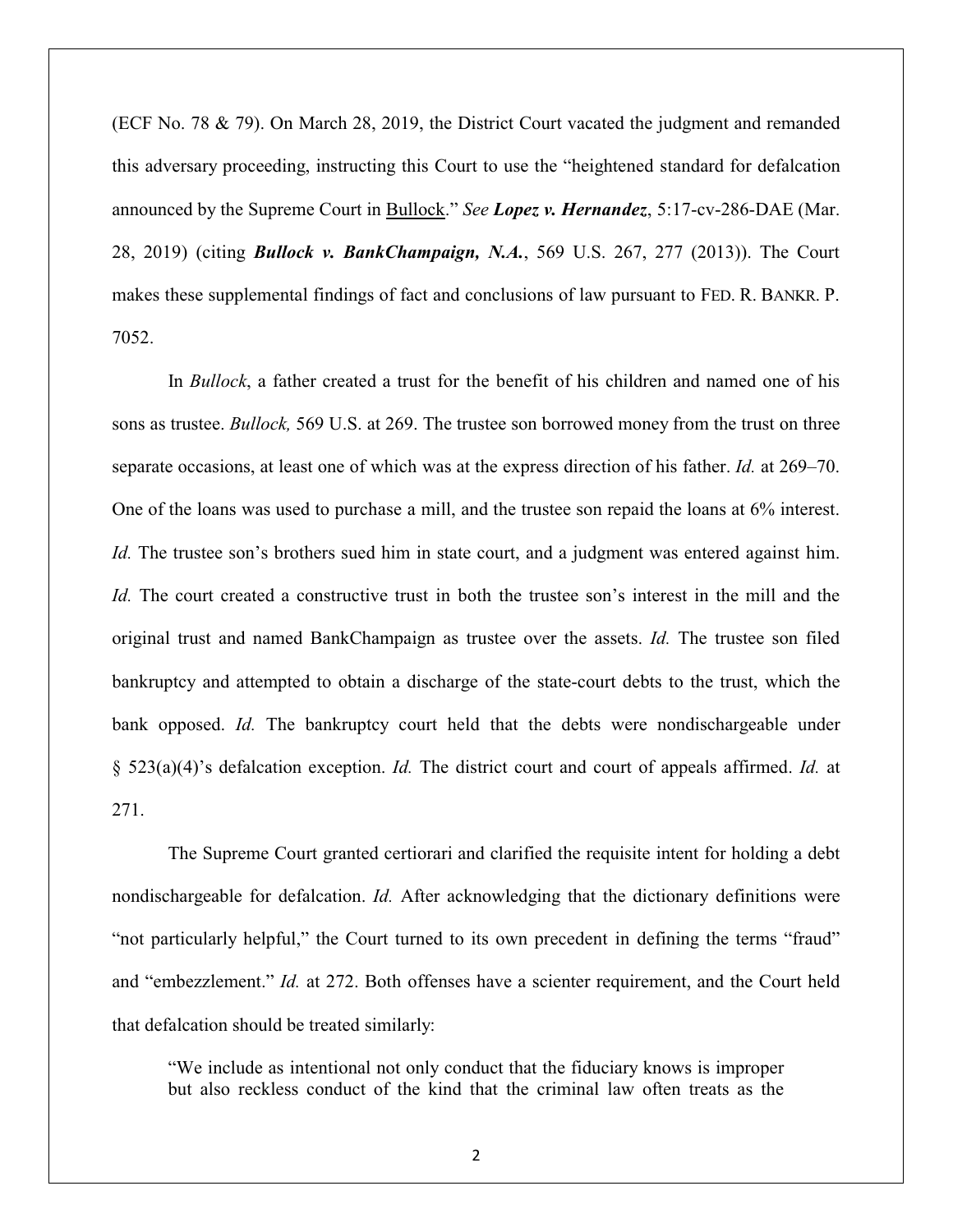(ECF No. 78 & 79). On March 28, 2019, the District Court vacated the judgment and remanded this adversary proceeding, instructing this Court to use the "heightened standard for defalcation announced by the Supreme Court in Bullock." *See Lopez v. Hernandez*, 5:17-cv-286-DAE (Mar. 28, 2019) (citing *Bullock v. BankChampaign, N.A.*, 569 U.S. 267, 277 (2013)). The Court makes these supplemental findings of fact and conclusions of law pursuant to FED. R. BANKR. P. 7052.

In *Bullock*, a father created a trust for the benefit of his children and named one of his sons as trustee. *Bullock,* 569 U.S. at 269. The trustee son borrowed money from the trust on three separate occasions, at least one of which was at the express direction of his father. *Id.* at 269–70. One of the loans was used to purchase a mill, and the trustee son repaid the loans at 6% interest. *Id.* The trustee son's brothers sued him in state court, and a judgment was entered against him. *Id.* The court created a constructive trust in both the trustee son's interest in the mill and the original trust and named BankChampaign as trustee over the assets. *Id.* The trustee son filed bankruptcy and attempted to obtain a discharge of the state-court debts to the trust, which the bank opposed. *Id*. The bankruptcy court held that the debts were nondischargeable under § 523(a)(4)'s defalcation exception. *Id.* The district court and court of appeals affirmed. *Id.* at 271.

The Supreme Court granted certiorari and clarified the requisite intent for holding a debt nondischargeable for defalcation. *Id.* After acknowledging that the dictionary definitions were "not particularly helpful," the Court turned to its own precedent in defining the terms "fraud" and "embezzlement." *Id.* at 272. Both offenses have a scienter requirement, and the Court held that defalcation should be treated similarly:

"We include as intentional not only conduct that the fiduciary knows is improper but also reckless conduct of the kind that the criminal law often treats as the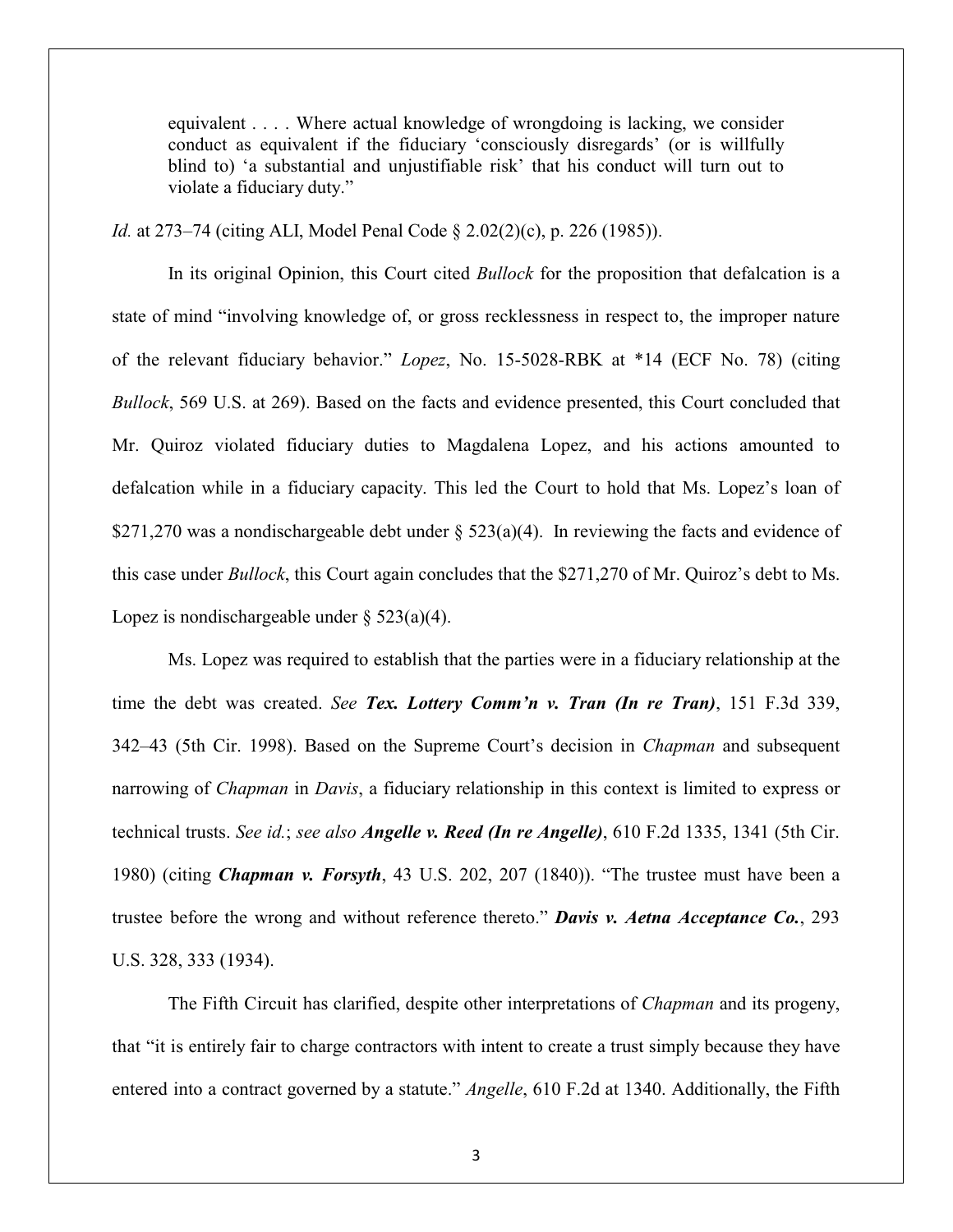equivalent . . . . Where actual knowledge of wrongdoing is lacking, we consider conduct as equivalent if the fiduciary 'consciously disregards' (or is willfully blind to) 'a substantial and unjustifiable risk' that his conduct will turn out to violate a fiduciary duty."

*Id.* at 273–74 (citing ALI, Model Penal Code § 2.02(2)(c), p. 226 (1985)).

In its original Opinion, this Court cited *Bullock* for the proposition that defalcation is a state of mind "involving knowledge of, or gross recklessness in respect to, the improper nature of the relevant fiduciary behavior." *Lopez*, No. 15-5028-RBK at \*14 (ECF No. 78) (citing *Bullock*, 569 U.S. at 269). Based on the facts and evidence presented, this Court concluded that Mr. Quiroz violated fiduciary duties to Magdalena Lopez, and his actions amounted to defalcation while in a fiduciary capacity. This led the Court to hold that Ms. Lopez's loan of \$271,270 was a nondischargeable debt under § 523(a)(4). In reviewing the facts and evidence of this case under *Bullock*, this Court again concludes that the \$271,270 of Mr. Quiroz's debt to Ms. Lopez is nondischargeable under  $\S$  523(a)(4).

Ms. Lopez was required to establish that the parties were in a fiduciary relationship at the time the debt was created. *See Tex. Lottery Comm'n v. Tran (In re Tran)*, 151 F.3d 339, 342–43 (5th Cir. 1998). Based on the Supreme Court's decision in *Chapman* and subsequent narrowing of *Chapman* in *Davis*, a fiduciary relationship in this context is limited to express or technical trusts. *See id.*; *see also Angelle v. Reed (In re Angelle)*, 610 F.2d 1335, 1341 (5th Cir. 1980) (citing *Chapman v. Forsyth*, 43 U.S. 202, 207 (1840)). "The trustee must have been a trustee before the wrong and without reference thereto." *Davis v. Aetna Acceptance Co.*, 293 U.S. 328, 333 (1934).

The Fifth Circuit has clarified, despite other interpretations of *Chapman* and its progeny, that "it is entirely fair to charge contractors with intent to create a trust simply because they have entered into a contract governed by a statute." *Angelle*, 610 F.2d at 1340. Additionally, the Fifth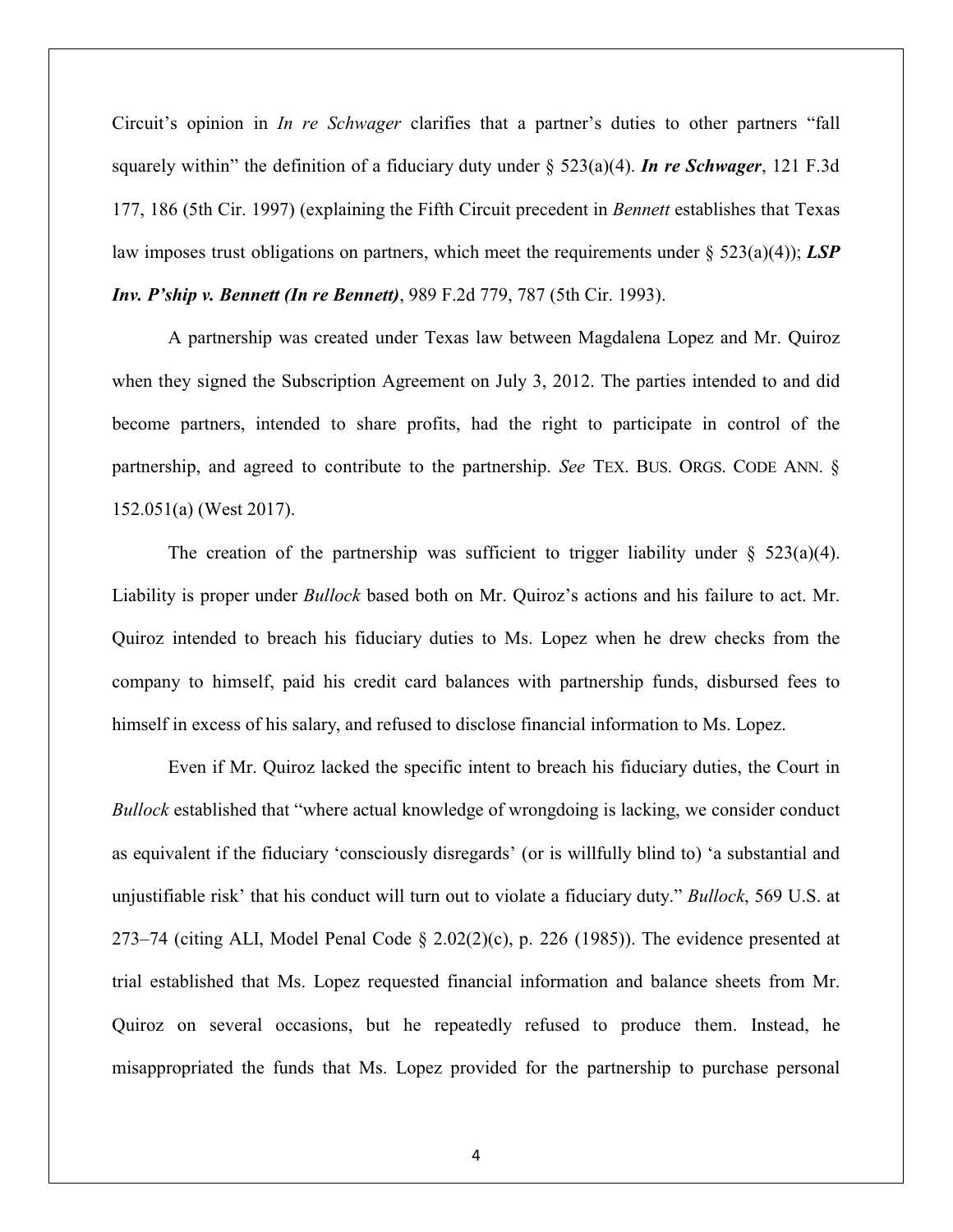Circuit's opinion in *In re Schwager* clarifies that a partner's duties to other partners "fall squarely within" the definition of a fiduciary duty under § 523(a)(4). *In re Schwager*, 121 F.3d 177, 186 (5th Cir. 1997) (explaining the Fifth Circuit precedent in *Bennett* establishes that Texas law imposes trust obligations on partners, which meet the requirements under § 523(a)(4)); *LSP Inv. P'ship v. Bennett (In re Bennett)*, 989 F.2d 779, 787 (5th Cir. 1993).

A partnership was created under Texas law between Magdalena Lopez and Mr. Quiroz when they signed the Subscription Agreement on July 3, 2012. The parties intended to and did become partners, intended to share profits, had the right to participate in control of the partnership, and agreed to contribute to the partnership. *See* TEX. BUS. ORGS. CODE ANN. § 152.051(a) (West 2017).

The creation of the partnership was sufficient to trigger liability under  $\S$  523(a)(4). Liability is proper under *Bullock* based both on Mr. Quiroz's actions and his failure to act. Mr. Quiroz intended to breach his fiduciary duties to Ms. Lopez when he drew checks from the company to himself, paid his credit card balances with partnership funds, disbursed fees to himself in excess of his salary, and refused to disclose financial information to Ms. Lopez.

Even if Mr. Quiroz lacked the specific intent to breach his fiduciary duties, the Court in *Bullock* established that "where actual knowledge of wrongdoing is lacking, we consider conduct as equivalent if the fiduciary 'consciously disregards' (or is willfully blind to) 'a substantial and unjustifiable risk' that his conduct will turn out to violate a fiduciary duty." *Bullock*, 569 U.S. at 273–74 (citing ALI, Model Penal Code  $\S 2.02(2)(c)$ , p. 226 (1985)). The evidence presented at trial established that Ms. Lopez requested financial information and balance sheets from Mr. Quiroz on several occasions, but he repeatedly refused to produce them. Instead, he misappropriated the funds that Ms. Lopez provided for the partnership to purchase personal